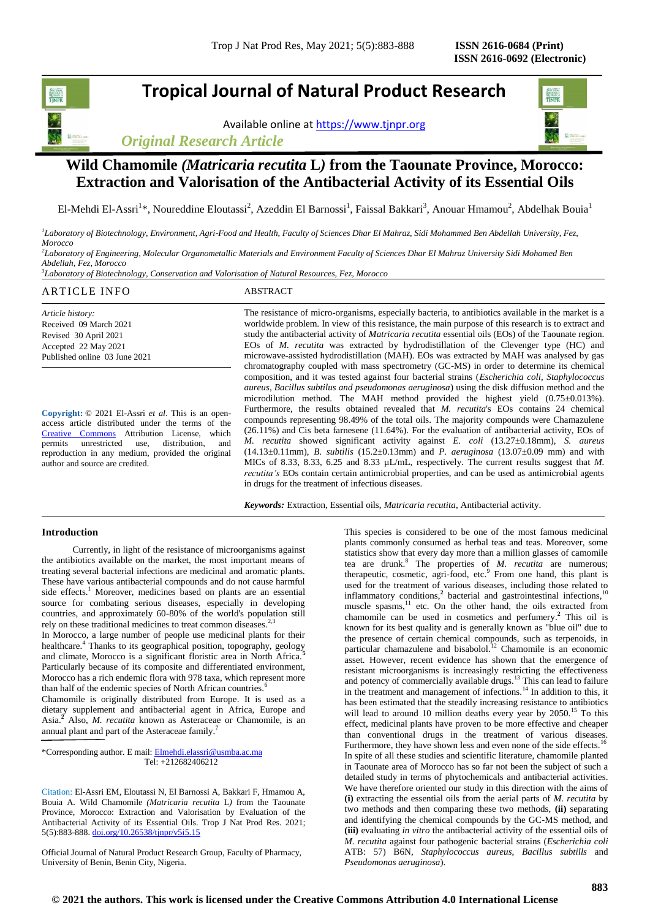## **Tropical Journal of Natural Product Research**

Available online a[t https://www.tjnpr.org](https://www.tjnpr.org/)





## **Wild Chamomile** *(Matricaria recutita* **L***)* **from the Taounate Province, Morocco: Extraction and Valorisation of the Antibacterial Activity of its Essential Oils**

El-Mehdi El-Assri<sup>1</sup>\*, Noureddine Eloutassi<sup>2</sup>, Azeddin El Barnossi<sup>1</sup>, Faissal Bakkari<sup>3</sup>, Anouar Hmamou<sup>2</sup>, Abdelhak Bouia<sup>1</sup>

*1 Laboratory of Biotechnology, Environment, Agri-Food and Health, Faculty of Sciences Dhar El Mahraz, Sidi Mohammed Ben Abdellah University, Fez, Morocco*

*2 Laboratory of Engineering, Molecular Organometallic Materials and Environment Faculty of Sciences Dhar El Mahraz University Sidi Mohamed Ben Abdellah, Fez, Morocco*

*3 Laboratory of Biotechnology, Conservation and Valorisation of Natural Resources, Fez, Morocco*

## ARTICLE INFO ABSTRACT

*Article history:* Received 09 March 2021 Revised 30 April 2021 Accepted 22 May 2021 Published online 03 June 2021

**Copyright:** © 2021 El-Assri *et al*. This is an openaccess article distributed under the terms of the [Creative Commons](https://creativecommons.org/licenses/by/4.0/) Attribution License, which permits unrestricted use, distribution, and reproduction in any medium, provided the original author and source are credited.

The resistance of micro-organisms, especially bacteria, to antibiotics available in the market is a worldwide problem. In view of this resistance, the main purpose of this research is to extract and study the antibacterial activity of *Matricaria recutita* essential oils (EOs) of the Taounate region. EOs of *M. recutita* was extracted by hydrodistillation of the Clevenger type (HC) and microwave-assisted hydrodistillation (MAH). EOs was extracted by MAH was analysed by gas chromatography coupled with mass spectrometry (GC-MS) in order to determine its chemical composition, and it was tested against four bacterial strains (*Escherichia coli, Staphylococcus aureus, Bacillus subtilus and pseudomonas aeruginosa*) using the disk diffusion method and the microdilution method. The MAH method provided the highest yield (0.75±0.013%). Furthermore, the results obtained revealed that *M. recutita*'s EOs contains 24 chemical compounds representing 98.49% of the total oils. The majority compounds were Chamazulene (26.11%) and Cis beta farnesene (11.64%). For the evaluation of antibacterial activity, EOs of *M. recutita* showed significant activity against *E. coli* (13.27±0.18mm), *S. aureus* (14.13±0.11mm), *B. subtilis* (15.2±0.13mm) and *P. aeruginosa* (13.07±0.09 mm) and with MICs of 8.33, 8.33, 6.25 and 8.33 µL/mL, respectively. The current results suggest that *M*. *recutita's* EOs contain certain antimicrobial properties, and can be used as antimicrobial agents in drugs for the treatment of infectious diseases.

*Keywords:* Extraction, Essential oils, *Matricaria recutita*, Antibacterial activity.

## **Introduction**

Currently, in light of the resistance of microorganisms against the antibiotics available on the market, the most important means of treating several bacterial infections are medicinal and aromatic plants. These have various antibacterial compounds and do not cause harmful side effects. <sup>1</sup> Moreover, medicines based on plants are an essential source for combating serious diseases, especially in developing countries, and approximately 60-80% of the world's population still rely on these traditional medicines to treat common diseases.<sup>2</sup> In Morocco, a large number of people use medicinal plants for their

healthcare.<sup>4</sup> Thanks to its geographical position, topography, geology and climate, Morocco is a significant floristic area in North Africa.**<sup>5</sup>** Particularly because of its composite and differentiated environment, Morocco has a rich endemic flora with 978 taxa, which represent more than half of the endemic species of North African countries.<sup>6</sup>

Chamomile is originally distributed from Europe. It is used as a dietary supplement and antibacterial agent in Africa, Europe and Asia.**<sup>2</sup>** Also, *M. recutita* known as Asteraceae or Chamomile, is an annual plant and part of the Asteraceae family.<sup>7</sup>

\*Corresponding author. E mail[: Elmehdi.elassri@usmba.ac.ma](mailto:Elmehdi.elassri@usmba.ac.ma) Tel: +212682406212

Citation: El-Assri EM, Eloutassi N, El Barnossi A, Bakkari F, Hmamou A, Bouia A. Wild Chamomile *(Matricaria recutita* L*)* from the Taounate Province, Morocco: Extraction and Valorisation by Evaluation of the Antibacterial Activity of its Essential Oils. Trop J Nat Prod Res. 2021; 5(5):883-888[. doi.org/10.26538/tjnpr/v5i5.1](http://www.doi.org/10.26538/tjnpr/v1i4.5)5

Official Journal of Natural Product Research Group, Faculty of Pharmacy, University of Benin, Benin City, Nigeria.

This species is considered to be one of the most famous medicinal plants commonly consumed as herbal teas and teas. Moreover, some statistics show that every day more than a million glasses of camomile tea are drunk.<sup>8</sup> The properties of *M. recutita* are numerous; therapeutic, cosmetic, agri-food, etc.<sup>9</sup> From one hand, this plant is used for the treatment of various diseases, including those related to inflammatory conditions,<sup>2</sup> bacterial and gastrointestinal infections,<sup>10</sup> muscle spasms, $11$  etc. On the other hand, the oils extracted from chamomile can be used in cosmetics and perfumery. **2** This oil is known for its best quality and is generally known as "blue oil" due to the presence of certain chemical compounds, such as terpenoids, in particular chamazulene and bisabolol.<sup>12</sup> Chamomile is an economic asset. However, recent evidence has shown that the emergence of resistant microorganisms is increasingly restricting the effectiveness and potency of commercially available drugs.<sup>13</sup> This can lead to failure in the treatment and management of infections.<sup>14</sup> In addition to this, it has been estimated that the steadily increasing resistance to antibiotics will lead to around 10 million deaths every year by 2050.<sup>15</sup> To this effect, medicinal plants have proven to be more effective and cheaper than conventional drugs in the treatment of various diseases. Furthermore, they have shown less and even none of the side effects.<sup>16</sup> In spite of all these studies and scientific literature, chamomile planted in Taounate area of Morocco has so far not been the subject of such a detailed study in terms of phytochemicals and antibacterial activities. We have therefore oriented our study in this direction with the aims of **(i)** extracting the essential oils from the aerial parts of *M. recutita* by two methods and then comparing these two methods, **(ii)** separating and identifying the chemical compounds by the GC-MS method, and **(iii)** evaluating *in vitro* the antibacterial activity of the essential oils of *M. recutita* against four pathogenic bacterial strains (*Escherichia coli* ATB: 57) B6N, *Staphylococcus aureus*, *Bacillus subtills* and *Pseudomonas aeruginosa*).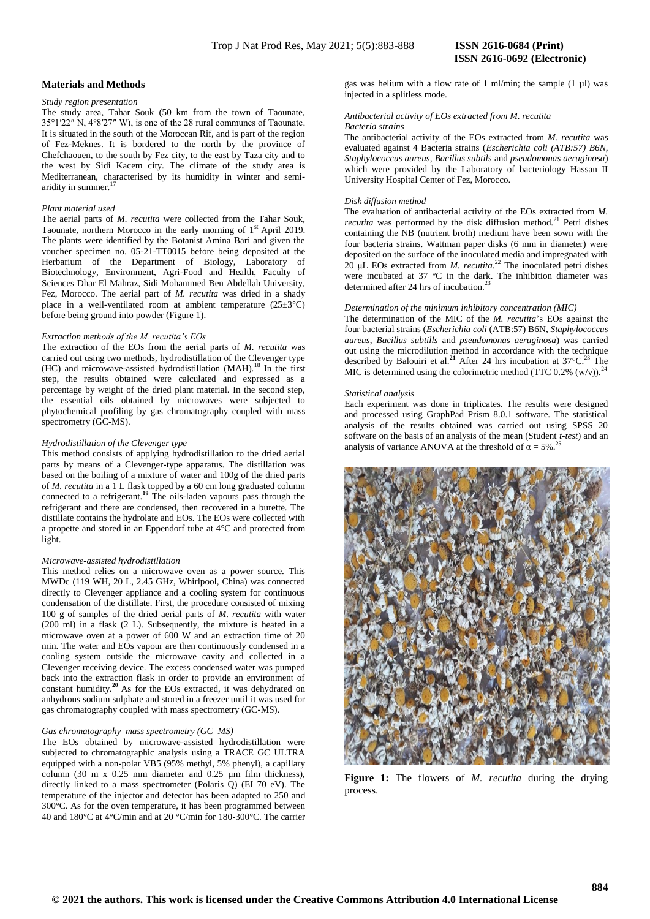#### **Materials and Methods**

#### *Study region presentation*

The study area, Tahar Souk (50 km from the town of Taounate, 35°1′22″ N, 4°8′27″ W), is one of the 28 rural communes of Taounate. It is situated in the south of the Moroccan Rif, and is part of the region of Fez-Meknes. It is bordered to the north by the province of Chefchaouen, to the south by Fez city, to the east by Taza city and to the west by Sidi Kacem city. The climate of the study area is Mediterranean, characterised by its humidity in winter and semiaridity in summer.<sup>17</sup>

### *Plant material used*

The aerial parts of *M. recutita* were collected from the Tahar Souk, Taounate, northern Morocco in the early morning of 1<sup>st</sup> April 2019. The plants were identified by the Botanist Amina Bari and given the voucher specimen no. 05-21-TT0015 before being deposited at the Herbarium of the Department of Biology, Laboratory of Biotechnology, Environment, Agri-Food and Health, Faculty of Sciences Dhar El Mahraz, Sidi Mohammed Ben Abdellah University, Fez, Morocco. The aerial part of *M. recutita* was dried in a shady place in a well-ventilated room at ambient temperature (25±3°C) before being ground into powder (Figure 1).

#### *Extraction methods of the M. recutita's EOs*

The extraction of the EOs from the aerial parts of *M. recutita* was carried out using two methods, hydrodistillation of the Clevenger type (HC) and microwave-assisted hydrodistillation (MAH).<sup>18</sup> In the first step, the results obtained were calculated and expressed as a percentage by weight of the dried plant material. In the second step, the essential oils obtained by microwaves were subjected to phytochemical profiling by gas chromatography coupled with mass spectrometry (GC-MS).

#### *Hydrodistillation of the Clevenger type*

This method consists of applying hydrodistillation to the dried aerial parts by means of a Clevenger-type apparatus. The distillation was based on the boiling of a mixture of water and 100g of the dried parts of *M. recutita* in a 1 L flask topped by a 60 cm long graduated column connected to a refrigerant.**<sup>19</sup>** The oils-laden vapours pass through the refrigerant and there are condensed, then recovered in a burette. The distillate contains the hydrolate and EOs. The EOs were collected with a propette and stored in an Eppendorf tube at 4°C and protected from light.

#### *Microwave-assisted hydrodistillation*

This method relies on a microwave oven as a power source. This MWDc (119 WH, 20 L, 2.45 GHz, Whirlpool, China) was connected directly to Clevenger appliance and a cooling system for continuous condensation of the distillate. First, the procedure consisted of mixing 100 g of samples of the dried aerial parts of *M. recutita* with water (200 ml) in a flask (2 L). Subsequently, the mixture is heated in a microwave oven at a power of 600 W and an extraction time of 20 min. The water and EOs vapour are then continuously condensed in a cooling system outside the microwave cavity and collected in a Clevenger receiving device. The excess condensed water was pumped back into the extraction flask in order to provide an environment of constant humidity.**<sup>20</sup>**As for the EOs extracted, it was dehydrated on anhydrous sodium sulphate and stored in a freezer until it was used for gas chromatography coupled with mass spectrometry (GC-MS).

#### *Gas chromatography–mass spectrometry (GC–MS)*

The EOs obtained by microwave-assisted hydrodistillation were subjected to chromatographic analysis using a TRACE GC ULTRA equipped with a non-polar VB5 (95% methyl, 5% phenyl), a capillary column (30 m x 0.25 mm diameter and 0.25 µm film thickness), directly linked to a mass spectrometer (Polaris Q) (EI 70 eV). The temperature of the injector and detector has been adapted to 250 and 300°C. As for the oven temperature, it has been programmed between 40 and 180°C at 4°C/min and at 20 °C/min for 180-300°C. The carrier gas was helium with a flow rate of 1 ml/min; the sample  $(1 \mu l)$  was injected in a splitless mode.

#### *Antibacterial activity of EOs extracted from M. recutita Bacteria strains*

The antibacterial activity of the EOs extracted from *M. recutita* was evaluated against 4 Bacteria strains (*Escherichia coli (ATB:57) B6N, Staphylococcus aureus, Bacillus subtils* and *pseudomonas aeruginosa*) which were provided by the Laboratory of bacteriology Hassan II University Hospital Center of Fez, Morocco.

#### *Disk diffusion method*

The evaluation of antibacterial activity of the EOs extracted from *M. recutita* was performed by the disk diffusion method.<sup>21</sup> Petri dishes containing the NB (nutrient broth) medium have been sown with the four bacteria strains. Wattman paper disks (6 mm in diameter) were deposited on the surface of the inoculated media and impregnated with 20 μL EOs extracted from *M. recutita.*<sup>22</sup> The inoculated petri dishes were incubated at 37 °C in the dark. The inhibition diameter was determined after 24 hrs of incubation.<sup>23</sup>

#### *Determination of the minimum inhibitory concentration (MIC)*

The determination of the MIC of the *M. recutita*'s EOs against the four bacterial strains (*Escherichia coli* (ATB:57) B6N, *Staphylococcus aureus*, *Bacillus subtills* and *pseudomonas aeruginosa*) was carried out using the microdilution method in accordance with the technique described by Balouiri et al.<sup>21</sup> After 24 hrs incubation at  $37^{\circ}$ C.<sup>23</sup> The MIC is determined using the colorimetric method (TTC  $0.2\%$  (w/v)).<sup>24</sup>

#### *Statistical analysis*

Each experiment was done in triplicates. The results were designed and processed using GraphPad Prism 8.0.1 software. The statistical analysis of the results obtained was carried out using SPSS 20 software on the basis of an analysis of the mean (Student *t-test*) and an analysis of variance ANOVA at the threshold of  $\alpha = 5\%$ .



**Figure 1:** The flowers of *M. recutita* during the drying process.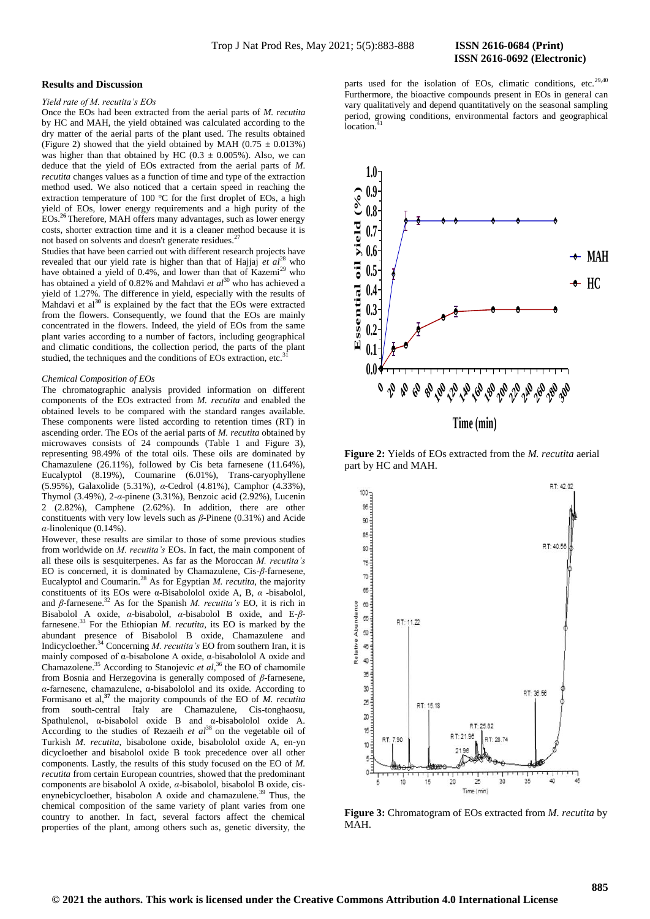#### **Results and Discussion**

## *Yield rate of M. recutita's EOs*

Once the EOs had been extracted from the aerial parts of *M. recutita* by HC and MAH, the yield obtained was calculated according to the dry matter of the aerial parts of the plant used. The results obtained (Figure 2) showed that the yield obtained by MAH ( $0.75 \pm 0.013\%$ ) was higher than that obtained by HC (0.3  $\pm$  0.005%). Also, we can deduce that the yield of EOs extracted from the aerial parts of *M. recutita* changes values as a function of time and type of the extraction method used. We also noticed that a certain speed in reaching the extraction temperature of 100 °C for the first droplet of EOs, a high yield of EOs, lower energy requirements and a high purity of the EOs.<sup>26</sup> Therefore, MAH offers many advantages, such as lower energy Therefore, MAH offers many advantages, such as lower energy costs, shorter extraction time and it is a cleaner method because it is not based on solvents and doesn't generate residues.<sup>2</sup>

Studies that have been carried out with different research projects have revealed that our yield rate is higher than that of Hajjaj  $et \text{ } al^{28}$  who have obtained a yield of 0.4%, and lower than that of Kazemi<sup>29</sup> who has obtained a yield of 0.82% and Mahdavi *et al*<sup>30</sup> who has achieved a yield of 1.27%. The difference in yield, especially with the results of Mahdavi et al**<sup>30</sup>** is explained by the fact that the EOs were extracted from the flowers. Consequently, we found that the EOs are mainly concentrated in the flowers. Indeed, the yield of EOs from the same plant varies according to a number of factors, including geographical and climatic conditions, the collection period, the parts of the plant studied, the techniques and the conditions of EOs extraction, etc.<sup>3</sup>

#### *Chemical Composition of EOs*

The chromatographic analysis provided information on different components of the EOs extracted from *M. recutita* and enabled the obtained levels to be compared with the standard ranges available. These components were listed according to retention times (RT) in ascending order. The EOs of the aerial parts of *M. recutita* obtained by microwaves consists of 24 compounds (Table 1 and Figure 3), representing 98.49% of the total oils. These oils are dominated by Chamazulene (26.11%), followed by Cis beta farnesene (11.64%), Eucalyptol (8.19%), Coumarine (6.01%), Trans-caryophyllene (5.95%), Galaxolide (5.31%), *α*-Cedrol (4.81%), Camphor (4.33%), Thymol (3.49%), 2-*α*-pinene (3.31%), Benzoic acid (2.92%), Lucenin 2 (2.82%), Camphene (2.62%). In addition, there are other constituents with very low levels such as *β*-Pinene (0.31%) and Acide *α*-linolenique (0.14%).

However, these results are similar to those of some previous studies from worldwide on *M. recutita's* EOs. In fact, the main component of all these oils is sesquiterpenes. As far as the Moroccan *M. recutita's* EO is concerned, it is dominated by Chamazulene, Cis-*β*-farnesene, Eucalyptol and Coumarin.<sup>28</sup> As for Egyptian *M. recutita*, the majority constituents of its EOs were α-Bisabololol oxide A, B, *α* -bisabolol, and *β*-farnesene.<sup>32</sup> As for the Spanish *M. recutita's* EO, it is rich in Bisabolol A oxide, *α*-bisabolol, *α*-bisabolol B oxide, and E-*β*farnesene.<sup>33</sup> For the Ethiopian *M. recutita*, its EO is marked by the abundant presence of Bisabolol B oxide, Chamazulene and Indicycloether.<sup>34</sup> Concerning *M. recutita's* EO from southern Iran, it is mainly composed of α-bisabolone A oxide, α-bisabololol A oxide and Chamazolene.<sup>35</sup> According to Stanojevic *et al*, <sup>36</sup> the EO of chamomile from Bosnia and Herzegovina is generally composed of *β*-farnesene, *α*-farnesene, chamazulene, α-bisabololol and its oxide. According to Formisano et al,**<sup>37</sup>** the majority compounds of the EO of *M. recutita* from south-central Italy are Chamazulene, Cis-tonghaosu, Spathulenol, α-bisabolol oxide B and α-bisabololol oxide A. According to the studies of Rezaeih *et al*<sup>38</sup> on the vegetable oil of Turkish *M. recutita*, bisabolone oxide, bisabololol oxide A, en-yn dicycloether and bisabolol oxide B took precedence over all other components. Lastly, the results of this study focused on the EO of *M. recutita* from certain European countries, showed that the predominant components are bisabolol A oxide, *α*-bisabolol, bisabolol B oxide, cisenynebicycloether, bisabolon A oxide and chamazulene.<sup>39</sup> Thus, the chemical composition of the same variety of plant varies from one country to another. In fact, several factors affect the chemical properties of the plant, among others such as, genetic diversity, the

parts used for the isolation of EOs, climatic conditions, etc.<sup>29,40</sup> Furthermore, the bioactive compounds present in EOs in general can vary qualitatively and depend quantitatively on the seasonal sampling period, growing conditions, environmental factors and geographical location.<sup>1</sup>



**Figure 2:** Yields of EOs extracted from the *M. recutita* aerial part by HC and MAH.



**Figure 3:** Chromatogram of EOs extracted from *M. recutita* by MAH.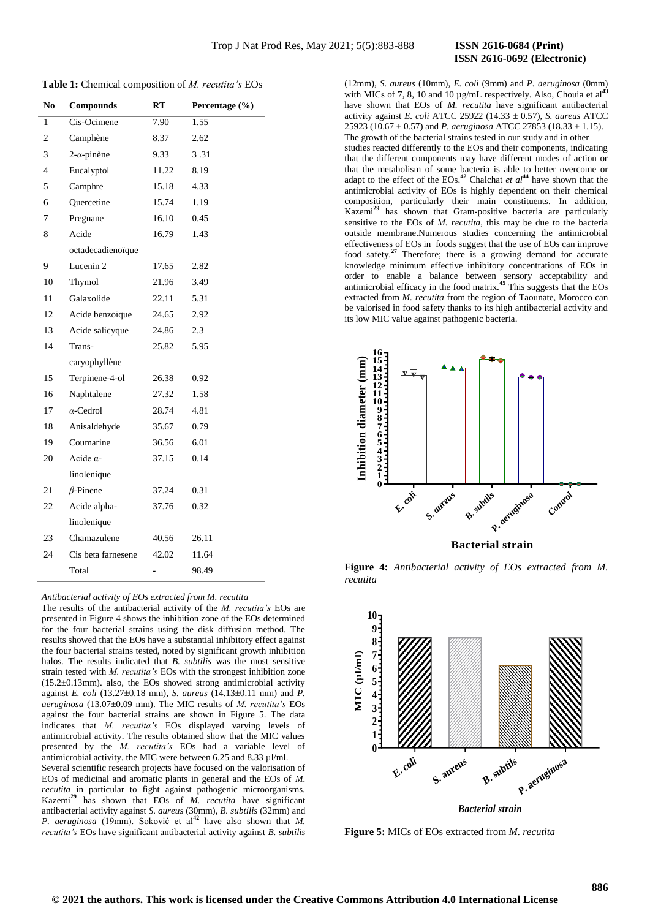# **ISSN 2616-0692 (Electronic)**

**Table 1:** Chemical composition of *M. recutita's* EOs

| N <sub>0</sub> | <b>Compounds</b>   | RT    | Percentage (%) |
|----------------|--------------------|-------|----------------|
| 1              | Cis-Ocimene        | 7.90  | 1.55           |
| $\overline{c}$ | Camphène           | 8.37  | 2.62           |
| 3              | $2-\alpha$ -pinène | 9.33  | 3.31           |
| 4              | Eucalyptol         | 11.22 | 8.19           |
| 5              | Camphre            | 15.18 | 4.33           |
| 6              | Quercetine         | 15.74 | 1.19           |
| 7              | Pregnane           | 16.10 | 0.45           |
| 8              | Acide              | 16.79 | 1.43           |
|                | octadecadienoïque  |       |                |
| 9              | Lucenin 2          | 17.65 | 2.82           |
| 10             | Thymol             | 21.96 | 3.49           |
| 11             | Galaxolide         | 22.11 | 5.31           |
| 12             | Acide benzoïque    | 24.65 | 2.92           |
| 13             | Acide salicyque    | 24.86 | 2.3            |
| 14             | Trans-             | 25.82 | 5.95           |
|                | caryophyllène      |       |                |
| 15             | Terpinene-4-ol     | 26.38 | 0.92           |
| 16             | Naphtalene         | 27.32 | 1.58           |
| 17             | $\alpha$ -Cedrol   | 28.74 | 4.81           |
| 18             | Anisaldehyde       | 35.67 | 0.79           |
| 19             | Coumarine          | 36.56 | 6.01           |
| 20             | Acide $\alpha$ -   | 37.15 | 0.14           |
|                | linolenique        |       |                |
| 21             | $\beta$ -Pinene    | 37.24 | 0.31           |
| 22             | Acide alpha-       | 37.76 | 0.32           |
|                | linolenique        |       |                |
| 23             | Chamazulene        | 40.56 | 26.11          |
| 24             | Cis beta farnesene | 42.02 | 11.64          |
|                | Total              |       | 98.49          |

*Antibacterial activity of EOs extracted from M. recutita*

The results of the antibacterial activity of the *M. recutita's* EOs are presented in Figure 4 shows the inhibition zone of the EOs determined for the four bacterial strains using the disk diffusion method. The results showed that the EOs have a substantial inhibitory effect against the four bacterial strains tested, noted by significant growth inhibition halos. The results indicated that *B. subtilis* was the most sensitive strain tested with *M. recutita's* EOs with the strongest inhibition zone (15.2±0.13mm). also, the EOs showed strong antimicrobial activity against *E. coli* (13.27±0.18 mm), *S. aureus* (14.13±0.11 mm) and *P. aeruginosa* (13.07±0.09 mm). The MIC results of *M. recutita's* EOs against the four bacterial strains are shown in Figure 5. The data indicates that *M. recutita's* EOs displayed varying levels of antimicrobial activity. The results obtained show that the MIC values presented by the *M. recutita's* EOs had a variable level of antimicrobial activity. the MIC were between 6.25 and 8.33 µl/ml. Several scientific research projects have focused on the valorisation of EOs of medicinal and aromatic plants in general and the EOs of *M. recutita* in particular to fight against pathogenic microorganisms. Kazemi**<sup>29</sup>** has shown that EOs of *M. recutita* have significant antibacterial activity against *S. aureus* (30mm), *B. subtilis* (32mm) and *P. aeruginosa* (19mm). Soković et al**<sup>42</sup>** have also shown that *M. recutita's* EOs have significant antibacterial activity against *B. subtilis*

(12mm), *S. aureus* (10mm), *E. coli* (9mm) and *P. aeruginosa* (0mm) with MICs of 7, 8, 10 and 10  $\mu$ g/mL respectively. Also, Chouia et al<sup>43</sup> have shown that EOs of *M. recutita* have significant antibacterial activity against *E. coli* ATCC 25922 (14.33 ± 0.57), *S. aureus* ATCC 25923 (10.67  $\pm$  0.57) and *P. aeruginosa* ATCC 27853 (18.33  $\pm$  1.15). The growth of the bacterial strains tested in our study and in other studies reacted differently to the EOs and their components, indicating that the different components may have different modes of action or that the metabolism of some bacteria is able to better overcome or adapt to the effect of the EOs.**<sup>42</sup>** Chalchat *et al***<sup>44</sup>** have shown that the antimicrobial activity of EOs is highly dependent on their chemical composition, particularly their main constituents. In addition, Kazemi**<sup>29</sup>** has shown that Gram-positive bacteria are particularly sensitive to the EOs of *M. recutita*, this may be due to the bacteria outside membrane.Numerous studies concerning the antimicrobial effectiveness of EOs in foods suggest that the use of EOs can improve food safety.**<sup>27</sup>** Therefore; there is a growing demand for accurate knowledge minimum effective inhibitory concentrations of EOs in order to enable a balance between sensory acceptability and antimicrobial efficacy in the food matrix.**<sup>45</sup>** This suggests that the EOs extracted from *M. recutita* from the region of Taounate, Morocco can be valorised in food safety thanks to its high antibacterial activity and its low MIC value against pathogenic bacteria.



**Figure 4:** *Antibacterial activity of EOs extracted from M. recutita*



**Figure 5:** MICs of EOs extracted from *M. recutita*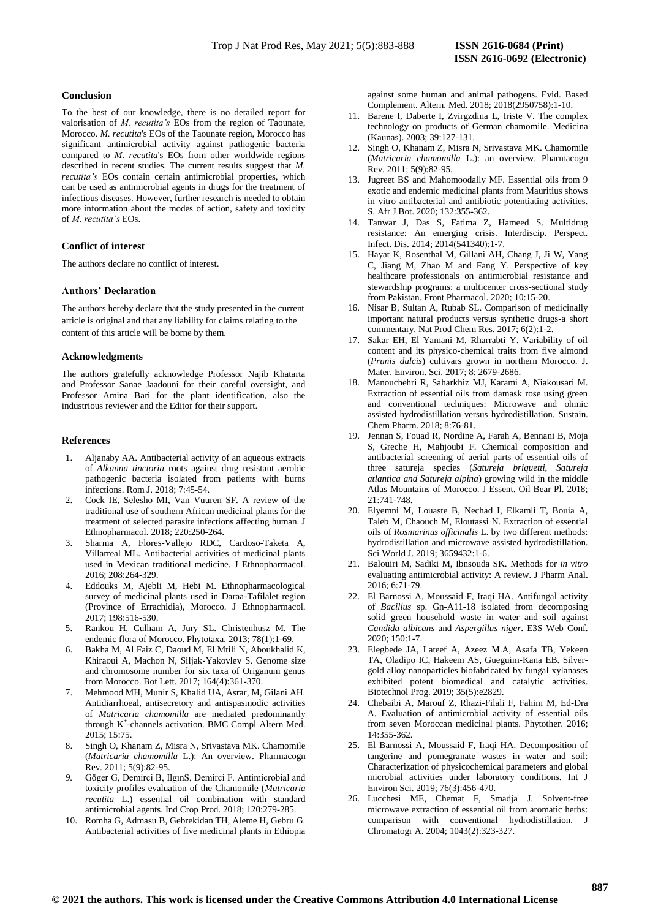#### **Conclusion**

To the best of our knowledge, there is no detailed report for valorisation of *M. recutita's* EOs from the region of Taounate, Morocco. *M. recutita*'s EOs of the Taounate region, Morocco has significant antimicrobial activity against pathogenic bacteria compared to *M. recutita*'s EOs from other worldwide regions described in recent studies. The current results suggest that *M. recutita's* EOs contain certain antimicrobial properties, which can be used as antimicrobial agents in drugs for the treatment of infectious diseases. However, further research is needed to obtain more information about the modes of action, safety and toxicity of *M. recutita's* EOs.

## **Conflict of interest**

The authors declare no conflict of interest.

### **Authors' Declaration**

The authors hereby declare that the study presented in the current article is original and that any liability for claims relating to the content of this article will be borne by them.

#### **Acknowledgments**

The authors gratefully acknowledge Professor Najib Khatarta and Professor Sanae Jaadouni for their careful oversight, and Professor Amina Bari for the plant identification, also the industrious reviewer and the Editor for their support.

#### **References**

- 1. Aljanaby AA. Antibacterial activity of an aqueous extracts of *Alkanna tinctoria* roots against drug resistant aerobic pathogenic bacteria isolated from patients with burns infections. Rom J. 2018; 7:45-54.
- 2. Cock IE, Selesho MI, Van Vuuren SF. A review of the traditional use of southern African medicinal plants for the treatment of selected parasite infections affecting human. J Ethnopharmacol. 2018; 220:250-264.
- 3. Sharma A, Flores-Vallejo RDC, Cardoso-Taketa A, Villarreal ML. Antibacterial activities of medicinal plants used in Mexican traditional medicine. J Ethnopharmacol. 2016; 208:264-329.
- 4. Eddouks M, Ajebli M, Hebi M. Ethnopharmacological survey of medicinal plants used in Daraa-Tafilalet region (Province of Errachidia), Morocco. J Ethnopharmacol. 2017; 198:516-530.
- 5. Rankou H, Culham A, Jury SL. Christenhusz M. The endemic flora of Morocco. Phytotaxa. 2013; 78(1):1-69.
- 6. Bakha M, Al Faiz C, Daoud M, El Mtili N, Aboukhalid K, Khiraoui A, Machon N, Siljak-Yakovlev S. Genome size and chromosome number for six taxa of Origanum genus from Morocco. Bot Lett. 2017; 164(4):361-370.
- 7. Mehmood MH, Munir S, Khalid UA, Asrar, M, Gilani AH. Antidiarrhoeal, antisecretory and antispasmodic activities of *Matricaria chamomilla* are mediated predominantly through K<sup>+</sup> -channels activation. BMC Compl Altern Med. 2015; 15:75.
- 8. Singh O, Khanam Z, Misra N, Srivastava MK. Chamomile (*Matricaria chamomilla* L.): An overview. Pharmacogn Rev. 2011; 5(9):82-95.
- *9.* Göger G, Demirci B, IlgınS, Demirci F. Antimicrobial and toxicity profiles evaluation of the Chamomile (*Matricaria recutita* L.) essential oil combination with standard antimicrobial agents. Ind Crop Prod. 2018; 120:279-285.
- 10. Romha G, Admasu B, Gebrekidan TH, Aleme H, Gebru G. Antibacterial activities of five medicinal plants in Ethiopia

against some human and animal pathogens. Evid. Based Complement. Altern. Med. 2018; 2018(2950758):1-10.

- 11. Barene I, Daberte I, Zvirgzdina L, Iriste V. The complex technology on products of German chamomile. Medicina (Kaunas). 2003; 39:127-131.
- 12. Singh O, Khanam Z, Misra N, Srivastava MK. Chamomile (*Matricaria chamomilla* L.): an overview. Pharmacogn Rev. 2011; 5(9):82-95.
- 13. Jugreet BS and Mahomoodally MF. Essential oils from 9 exotic and endemic medicinal plants from Mauritius shows in vitro antibacterial and antibiotic potentiating activities. S. Afr J Bot. 2020; 132:355-362.
- 14. Tanwar J, Das S, Fatima Z, Hameed S. Multidrug resistance: An emerging crisis. Interdiscip. Perspect. Infect. Dis. 2014; 2014(541340):1-7.
- 15. Hayat K, Rosenthal M, Gillani AH, Chang J, Ji W, Yang C, Jiang M, Zhao M and Fang Y. Perspective of key healthcare professionals on antimicrobial resistance and stewardship programs: a multicenter cross-sectional study from Pakistan. Front Pharmacol. 2020; 10:15-20.
- 16. Nisar B, Sultan A, Rubab SL. Comparison of medicinally important natural products versus synthetic drugs-a short commentary. Nat Prod Chem Res. 2017; 6(2):1-2.
- 17. Sakar EH, El Yamani M, Rharrabti Y. Variability of oil content and its physico-chemical traits from five almond (*Prunis dulcis*) cultivars grown in northern Morocco. J. Mater. Environ. Sci. 2017; 8: 2679-2686.
- 18. Manouchehri R, Saharkhiz MJ, Karami A, Niakousari M. Extraction of essential oils from damask rose using green and conventional techniques: Microwave and ohmic assisted hydrodistillation versus hydrodistillation. Sustain. Chem Pharm. 2018; 8:76-81.
- 19. Jennan S, Fouad R, Nordine A, Farah A, Bennani B, Moja S, Greche H, Mahjoubi F. Chemical composition and antibacterial screening of aerial parts of essential oils of three satureja species (*Satureja briquetti, Satureja atlantica and Satureja alpina*) growing wild in the middle Atlas Mountains of Morocco. J Essent. Oil Bear Pl. 2018; 21:741-748.
- 20. Elyemni M, Louaste B, Nechad I, Elkamli T, Bouia A, Taleb M, Chaouch M, Eloutassi N. Extraction of essential oils of *Rosmarinus officinalis* L. by two different methods: hydrodistillation and microwave assisted hydrodistillation. Sci World J. 2019; 3659432:1-6.
- 21. Balouiri M, Sadiki M, Ibnsouda SK. Methods for *in vitro* evaluating antimicrobial activity: A review. J Pharm Anal. 2016; 6:71-79.
- 22. El Barnossi A, Moussaid F, Iraqi HA. Antifungal activity of *Bacillus* sp. Gn-A11-18 isolated from decomposing solid green household waste in water and soil against *Candida albicans* and *Aspergillus niger*. E3S Web Conf. 2020; 150:1-7.
- 23. Elegbede JA, Lateef A, Azeez M.A, Asafa TB, Yekeen TA, Oladipo IC, Hakeem AS, Gueguim-Kana EB. Silvergold alloy nanoparticles biofabricated by fungal xylanases exhibited potent biomedical and catalytic activities. Biotechnol Prog. 2019; 35(5):e2829.
- 24. Chebaibi A, Marouf Z, Rhazi-Filali F, Fahim M, Ed-Dra A. Evaluation of antimicrobial activity of essential oils from seven Moroccan medicinal plants. Phytother. 2016; 14:355-362.
- 25. El Barnossi A, Moussaid F, Iraqi HA. Decomposition of tangerine and pomegranate wastes in water and soil: Characterization of physicochemical parameters and global microbial activities under laboratory conditions. Int J Environ Sci. 2019; 76(3):456-470.
- 26. Lucchesi ME, Chemat F, Smadja J. Solvent-free microwave extraction of essential oil from aromatic herbs: comparison with conventional hydrodistillation. J Chromatogr A. 2004; 1043(2):323-327.